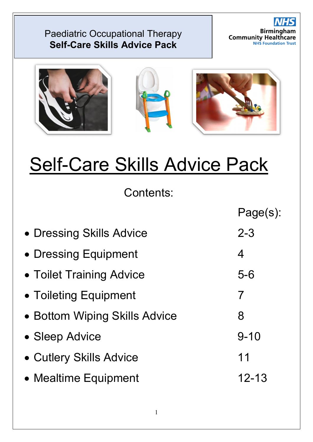



# Self-Care Skills Advice Pack

Contents:

|                               | Page(s):  |
|-------------------------------|-----------|
| • Dressing Skills Advice      | $2 - 3$   |
| • Dressing Equipment          | 4         |
| • Toilet Training Advice      | $5 - 6$   |
| • Toileting Equipment         | 7         |
| • Bottom Wiping Skills Advice | 8         |
| • Sleep Advice                | $9 - 10$  |
| • Cutlery Skills Advice       | 11        |
| • Mealtime Equipment          | $12 - 13$ |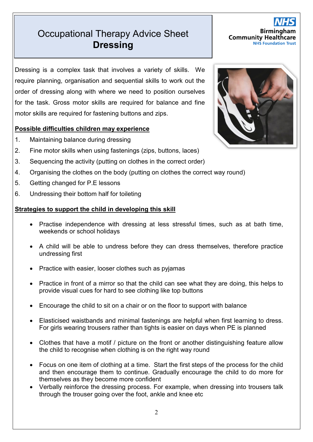# **Occupational Therapy Advice Sheet Self-Care Skills Advice Pack Dressing**

Dressing is a complex task that involves a variety of skills. We require planning, organisation and sequential skills to work out the order of dressing along with where we need to position ourselves for the task. Gross motor skills are required for balance and fine motor skills are required for fastening buttons and zips.

## **Possible difficulties children may experience**

- 1. Maintaining balance during dressing
- 2. Fine motor skills when using fastenings (zips, buttons, laces)
- 3. Sequencing the activity (putting on clothes in the correct order)
- 4. Organising the clothes on the body (putting on clothes the correct way round)
- 5. Getting changed for P.E lessons
- 6. Undressing their bottom half for toileting

- Practise independence with dressing at less stressful times, such as at bath time, weekends or school holidays
- A child will be able to undress before they can dress themselves, therefore practice undressing first
- Practice with easier, looser clothes such as pyjamas
- Practice in front of a mirror so that the child can see what they are doing, this helps to provide visual cues for hard to see clothing like top buttons
- Encourage the child to sit on a chair or on the floor to support with balance
- Elasticised waistbands and minimal fastenings are helpful when first learning to dress. For girls wearing trousers rather than tights is easier on days when PE is planned
- Clothes that have a motif / picture on the front or another distinguishing feature allow the child to recognise when clothing is on the right way round
- Focus on one item of clothing at a time. Start the first steps of the process for the child and then encourage them to continue. Gradually encourage the child to do more for themselves as they become more confident
- Verbally reinforce the dressing process. For example, when dressing into trousers talk through the trouser going over the foot, ankle and knee etc



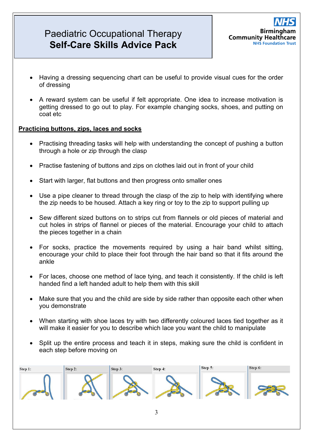

- Having a dressing sequencing chart can be useful to provide visual cues for the order of dressing
- A reward system can be useful if felt appropriate. One idea to increase motivation is getting dressed to go out to play. For example changing socks, shoes, and putting on coat etc

#### **Practicing buttons, zips, laces and socks**

- Practising threading tasks will help with understanding the concept of pushing a button through a hole or zip through the clasp
- Practise fastening of buttons and zips on clothes laid out in front of your child
- Start with larger, flat buttons and then progress onto smaller ones
- Use a pipe cleaner to thread through the clasp of the zip to help with identifying where the zip needs to be housed. Attach a key ring or toy to the zip to support pulling up
- Sew different sized buttons on to strips cut from flannels or old pieces of material and cut holes in strips of flannel or pieces of the material. Encourage your child to attach the pieces together in a chain
- For socks, practice the movements required by using a hair band whilst sitting, encourage your child to place their foot through the hair band so that it fits around the ankle
- For laces, choose one method of lace tying, and teach it consistently. If the child is left handed find a left handed adult to help them with this skill
- Make sure that you and the child are side by side rather than opposite each other when you demonstrate
- When starting with shoe laces try with two differently coloured laces tied together as it will make it easier for you to describe which lace you want the child to manipulate
- Split up the entire process and teach it in steps, making sure the child is confident in each step before moving on

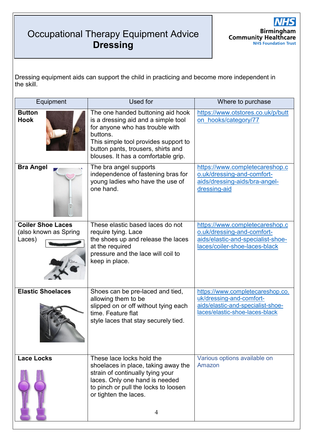# Occupational Therapy Equipment Advice **Self-Care Skills Advice Pack Dressing**



Dressing equipment aids can support the child in practicing and become more independent in the skill.

| Equipment                                                   | Used for                                                                                                                                                                                                                                     | Where to purchase                                                                                                                   |
|-------------------------------------------------------------|----------------------------------------------------------------------------------------------------------------------------------------------------------------------------------------------------------------------------------------------|-------------------------------------------------------------------------------------------------------------------------------------|
| <b>Button</b><br><b>Hook</b>                                | The one handed buttoning aid hook<br>is a dressing aid and a simple tool<br>for anyone who has trouble with<br>buttons.<br>This simple tool provides support to<br>button pants, trousers, shirts and<br>blouses. It has a comfortable grip. | https://www.otstores.co.uk/p/butt<br>on hooks/category/77                                                                           |
| <b>Bra Angel</b>                                            | The bra angel supports<br>independence of fastening bras for<br>young ladies who have the use of<br>one hand.                                                                                                                                | https://www.completecareshop.c<br>o.uk/dressing-and-comfort-<br>aids/dressing-aids/bra-angel-<br>dressing-aid                       |
| <b>Coiler Shoe Laces</b><br>(also known as Spring<br>Laces) | These elastic based laces do not<br>require tying. Lace<br>the shoes up and release the laces<br>at the required<br>pressure and the lace will coil to<br>keep in place.                                                                     | https://www.completecareshop.c<br>o.uk/dressing-and-comfort-<br>aids/elastic-and-specialist-shoe-<br>laces/coiler-shoe-laces-black  |
| <b>Elastic Shoelaces</b>                                    | Shoes can be pre-laced and tied,<br>allowing them to be<br>slipped on or off without tying each<br>time. Feature flat<br>style laces that stay securely tied.                                                                                | https://www.completecareshop.co.<br>uk/dressing-and-comfort-<br>aids/elastic-and-specialist-shoe-<br>laces/elastic-shoe-laces-black |
| <b>Lace Locks</b>                                           | These lace locks hold the<br>shoelaces in place, taking away the<br>strain of continually tying your<br>laces. Only one hand is needed<br>to pinch or pull the locks to loosen<br>or tighten the laces.<br>4                                 | Various options available on<br>Amazon                                                                                              |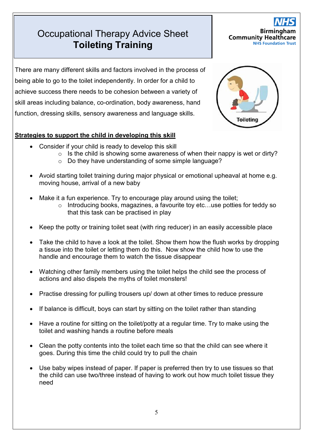# Occupational Therapy Advice Sheet **Self-Carecist Toileting Training**



There are many different skills and factors involved in the process of being able to go to the toilet independently. In order for a child to achieve success there needs to be cohesion between a variety of skill areas including balance, co-ordination, body awareness, hand function, dressing skills, sensory awareness and language skills.

- Consider if your child is ready to develop this skill
	- $\circ$  Is the child is showing some awareness of when their nappy is wet or dirty?
	- o Do they have understanding of some simple language?
- Avoid starting toilet training during major physical or emotional upheaval at home e.g. moving house, arrival of a new baby
- Make it a fun experience. Try to encourage play around using the toilet;
	- o Introducing books, magazines, a favourite toy etc…use potties for teddy so that this task can be practised in play
- Keep the potty or training toilet seat (with ring reducer) in an easily accessible place
- Take the child to have a look at the toilet. Show them how the flush works by dropping a tissue into the toilet or letting them do this. Now show the child how to use the handle and encourage them to watch the tissue disappear
- Watching other family members using the toilet helps the child see the process of actions and also dispels the myths of toilet monsters!
- Practise dressing for pulling trousers up/ down at other times to reduce pressure
- If balance is difficult, boys can start by sitting on the toilet rather than standing
- Have a routine for sitting on the toilet/potty at a regular time. Try to make using the toilet and washing hands a routine before meals
- Clean the potty contents into the toilet each time so that the child can see where it goes. During this time the child could try to pull the chain
- Use baby wipes instead of paper. If paper is preferred then try to use tissues so that the child can use two/three instead of having to work out how much toilet tissue they need

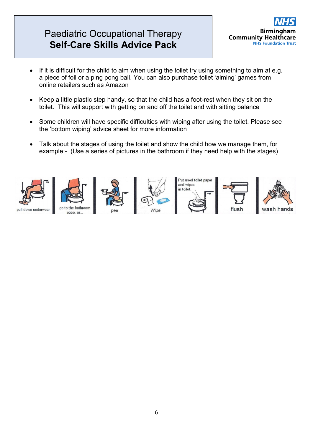

- If it is difficult for the child to aim when using the toilet try using something to aim at e.g. a piece of foil or a ping pong ball. You can also purchase toilet 'aiming' games from online retailers such as Amazon
- Keep a little plastic step handy, so that the child has a foot-rest when they sit on the toilet. This will support with getting on and off the toilet and with sitting balance
- Some children will have specific difficulties with wiping after using the toilet. Please see the 'bottom wiping' advice sheet for more information
- Talk about the stages of using the toilet and show the child how we manage them, for example:- (Use a series of pictures in the bathroom if they need help with the stages)

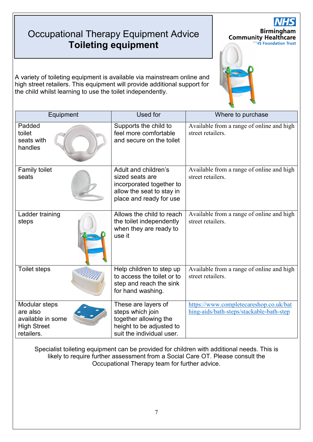# Occupational Therapy Equipment Advice **Self-Care Skills Advice Pack Toileting equipment**

A variety of toileting equipment is available via mainstream online and high street retailers. This equipment will provide additional support for the child whilst learning to use the toilet independently.

| Equipment                                                                          | Used for                                                                                                                    | Where to purchase                                                                  |
|------------------------------------------------------------------------------------|-----------------------------------------------------------------------------------------------------------------------------|------------------------------------------------------------------------------------|
| Padded<br>toilet<br>seats with<br>handles                                          | Supports the child to<br>feel more comfortable<br>and secure on the toilet                                                  | Available from a range of online and high<br>street retailers.                     |
| Family toilet<br>seats                                                             | Adult and children's<br>sized seats are<br>incorporated together to<br>allow the seat to stay in<br>place and ready for use | Available from a range of online and high<br>street retailers.                     |
| Ladder training<br>steps                                                           | Allows the child to reach<br>the toilet independently<br>when they are ready to<br>use it                                   | Available from a range of online and high<br>street retailers.                     |
| <b>Toilet steps</b>                                                                | Help children to step up<br>to access the toilet or to<br>step and reach the sink<br>for hand washing.                      | Available from a range of online and high<br>street retailers.                     |
| Modular steps<br>are also<br>available in some<br><b>High Street</b><br>retailers. | These are layers of<br>steps which join<br>together allowing the<br>height to be adjusted to<br>suit the individual user.   | https://www.completecareshop.co.uk/bat<br>hing-aids/bath-steps/stackable-bath-step |

**Birmingham** 

"HS Foundation Trust

**Community Healthcare** 

Specialist toileting equipment can be provided for children with additional needs. This is likely to require further assessment from a Social Care OT. Please consult the Occupational Therapy team for further advice.

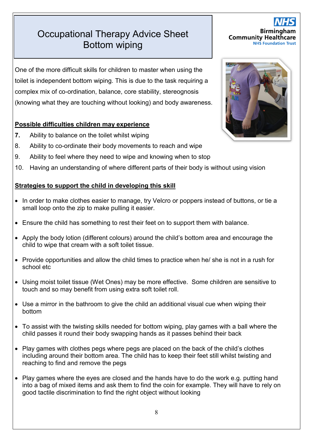# **Occupational Therapy Advice Sheet Self-Care Skills Advisory Bottom wiping**

One of the more difficult skills for children to master when using the toilet is independent bottom wiping. This is due to the task requiring a complex mix of co-ordination, balance, core stability, stereognosis (knowing what they are touching without looking) and body awareness.

## **Possible difficulties children may experience**

- **7.** Ability to balance on the toilet whilst wiping
- 8. Ability to co-ordinate their body movements to reach and wipe
- 9. Ability to feel where they need to wipe and knowing when to stop
- 10. Having an understanding of where different parts of their body is without using vision

## **Strategies to support the child in developing this skill**

- In order to make clothes easier to manage, try Velcro or poppers instead of buttons, or tie a small loop onto the zip to make pulling it easier.
- Ensure the child has something to rest their feet on to support them with balance.
- Apply the body lotion (different colours) around the child's bottom area and encourage the child to wipe that cream with a soft toilet tissue.
- Provide opportunities and allow the child times to practice when he/ she is not in a rush for school etc
- Using moist toilet tissue (Wet Ones) may be more effective. Some children are sensitive to touch and so may benefit from using extra soft toilet roll.
- Use a mirror in the bathroom to give the child an additional visual cue when wiping their bottom
- To assist with the twisting skills needed for bottom wiping, play games with a ball where the child passes it round their body swapping hands as it passes behind their back
- Play games with clothes pegs where pegs are placed on the back of the child's clothes including around their bottom area. The child has to keep their feet still whilst twisting and reaching to find and remove the pegs
- Play games where the eyes are closed and the hands have to do the work e.g. putting hand into a bag of mixed items and ask them to find the coin for example. They will have to rely on good tactile discrimination to find the right object without looking





**Birming Community Healthcare NHS Foundation Trust**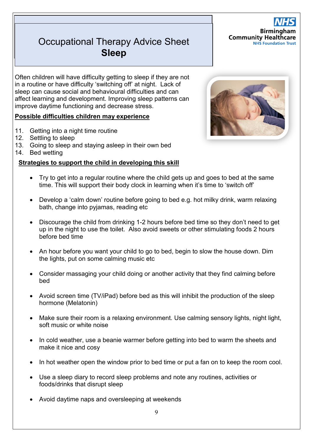## Paediatric Occupational Therapy Occupational Therapy Advice Sheet **Sleep**

Often children will have difficulty getting to sleep if they are not in a routine or have difficulty 'switching off' at night. Lack of sleep can cause social and [behavioural difficulties](http://www.ncbi.nlm.nih.gov/pubmed/16646974) and can affect learning and development. Improving sleep patterns [can](http://www.ncbi.nlm.nih.gov/pubmed/19836696) 

## **Possible difficulties children may experience**

[improve daytime functioning and decrease stress.](http://www.ncbi.nlm.nih.gov/pubmed/19836696)

- 11. Getting into a night time routine
- 12. Settling to sleep
- 13. Going to sleep and staying asleep in their own bed
- 14. Bed wetting



- Try to get into a regular routine where the child gets up and goes to bed at the same time. This will support their body clock in learning when it's time to 'switch off'
- Develop a 'calm down' routine before going to bed e.g. hot milky drink, warm relaxing bath, change into pyjamas, reading etc
- Discourage the child from drinking 1-2 hours before bed time so they don't need to get up in the night to use the toilet. Also avoid sweets or other stimulating foods 2 hours before bed time
- An hour before you want your child to go to bed, begin to slow the house down. Dim the lights, put on some calming music etc
- Consider massaging your child doing or another activity that they find calming before bed
- Avoid screen time (TV/iPad) before bed as this will inhibit the production of the sleep hormone (Melatonin)
- Make sure their room is a relaxing environment. Use calming sensory lights, night light, soft music or white noise
- In cold weather, use a beanie warmer before getting into bed to warm the sheets and make it nice and cosy
- In hot weather open the window prior to bed time or put a fan on to keep the room cool.
- Use a sleep diary to record sleep problems and note any routines, activities or foods/drinks that disrupt sleep
- Avoid daytime naps and oversleeping at weekends

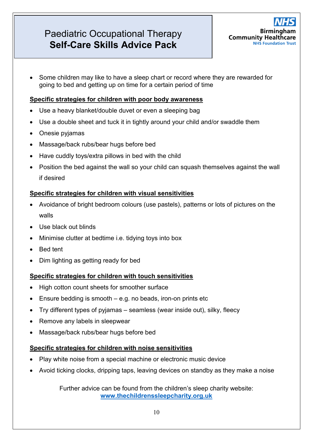

• Some children may like to have a sleep chart or record where they are rewarded for going to bed and getting up on time for a certain period of time

#### **Specific strategies for children with poor body awareness**

- Use a heavy blanket/double duvet or even a sleeping bag
- Use a double sheet and tuck it in tightly around your child and/or swaddle them
- Onesie pyjamas
- Massage/back rubs/bear hugs before bed
- Have cuddly toys/extra pillows in bed with the child
- Position the bed against the wall so your child can squash themselves against the wall if desired

## **Specific strategies for children with visual sensitivities**

- Avoidance of bright bedroom colours (use pastels), patterns or lots of pictures on the walls
- Use black out blinds
- Minimise clutter at bedtime i.e. tidying toys into box
- Bed tent
- Dim lighting as getting ready for bed

## **Specific strategies for children with touch sensitivities**

- High cotton count sheets for smoother surface
- Ensure bedding is smooth  $-e.g.$  no beads, iron-on prints etc
- Try different types of pyjamas seamless (wear inside out), silky, fleecy
- Remove any labels in sleepwear
- Massage/back rubs/bear hugs before bed

## **Specific strategies for children with noise sensitivities**

- Play white noise from a special machine or electronic music device
- Avoid ticking clocks, dripping taps, leaving devices on standby as they make a noise

Further advice can be found from the children's sleep charity website: **[www.thechildrenssleepcharity.org.uk](http://www.thechildrenssleepcharity.org.uk/)**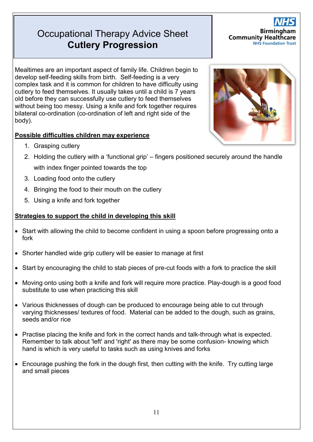# **Occupational Therapy Advice Sheet Self-Care Skills Advice Pack Cutlery Progression**

**Birmingham Community Healthcare NHS Foundation Trust** 

Mealtimes are an important aspect of family life. Children begin to develop self-feeding skills from birth. Self-feeding is a very complex task and it is common for children to have difficulty using cutlery to feed themselves. It usually takes until a child is 7 years old before they can successfully use cutlery to feed themselves without being too messy. Using a knife and fork together requires bilateral co-ordination (co-ordination of left and right side of the body).

## **Possible difficulties children may experience**

- 1. Grasping cutlery
- 2. Holding the cutlery with a 'functional grip' fingers positioned securely around the handle with index finger pointed towards the top
- 3. Loading food onto the cutlery
- 4. Bringing the food to their mouth on the cutlery
- 5. Using a knife and fork together

- Start with allowing the child to become confident in using a spoon before progressing onto a fork
- Shorter handled wide grip cutlery will be easier to manage at first
- Start by encouraging the child to stab pieces of pre-cut foods with a fork to practice the skill
- Moving onto using both a knife and fork will require more practice. Play-dough is a good food substitute to use when practicing this skill
- Various thicknesses of dough can be produced to encourage being able to cut through varying thicknesses/ textures of food. Material can be added to the dough, such as grains, seeds and/or rice
- Practise placing the knife and fork in the correct hands and talk-through what is expected. Remember to talk about 'left' and 'right' as there may be some confusion- knowing which hand is which is very useful to tasks such as using knives and forks
- Encourage pushing the fork in the dough first, then cutting with the knife. Try cutting large and small pieces

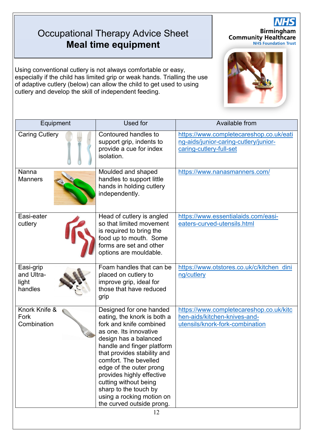# Occupational Therapy Advice Sheet **Self-Care Skills Advice Pack Meal time equipment**

Using conventional cutlery is not always comfortable or easy, especially if the child has limited grip or weak hands. Trialling the use of adaptive cutlery (below) can allow the child to get used to using cutlery and develop the skill of independent feeding.

| Equipment                                   | Used for                                                                                                                                                                                                                                                                                                                                                                                       | Available from                                                                                              |
|---------------------------------------------|------------------------------------------------------------------------------------------------------------------------------------------------------------------------------------------------------------------------------------------------------------------------------------------------------------------------------------------------------------------------------------------------|-------------------------------------------------------------------------------------------------------------|
| <b>Caring Cutlery</b>                       | Contoured handles to<br>support grip, indents to<br>provide a cue for index<br>isolation.                                                                                                                                                                                                                                                                                                      | https://www.completecareshop.co.uk/eati<br>ng-aids/junior-caring-cutlery/junior-<br>caring-cutlery-full-set |
| Nanna<br><b>Manners</b>                     | Moulded and shaped<br>handles to support little<br>hands in holding cutlery<br>independently.                                                                                                                                                                                                                                                                                                  | https://www.nanasmanners.com/                                                                               |
| Easi-eater<br>cutlery                       | Head of cutlery is angled<br>so that limited movement<br>is required to bring the<br>food up to mouth. Some<br>forms are set and other<br>options are mouldable.                                                                                                                                                                                                                               | https://www.essentialaids.com/easi-<br>eaters-curved-utensils.html                                          |
| Easi-grip<br>and Ultra-<br>light<br>handles | Foam handles that can be<br>placed on cutlery to<br>improve grip, ideal for<br>those that have reduced<br>grip                                                                                                                                                                                                                                                                                 | https://www.otstores.co.uk/c/kitchen_dini<br>ng/cutlery                                                     |
| Knork Knife &<br>Fork<br>Combination        | Designed for one handed<br>eating, the knork is both a<br>fork and knife combined<br>as one. Its innovative<br>design has a balanced<br>handle and finger platform<br>that provides stability and<br>comfort. The bevelled<br>edge of the outer prong<br>provides highly effective<br>cutting without being<br>sharp to the touch by<br>using a rocking motion on<br>the curved outside prong. | https://www.completecareshop.co.uk/kitc<br>hen-aids/kitchen-knives-and-<br>utensils/knork-fork-combination  |



**Birmingham**<br>Community Healthcare<br>**NHS Foundation Trust**